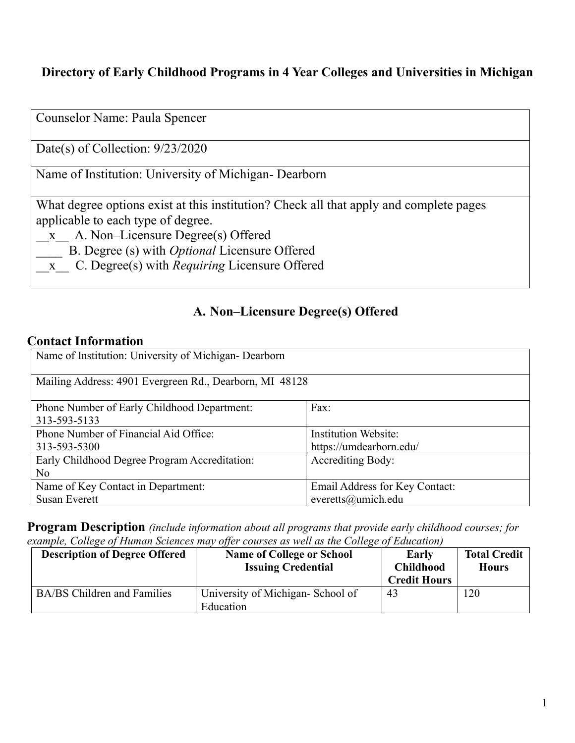### **Directory of Early Childhood Programs in 4 Year Colleges and Universities in Michigan**

| Counselor Name: Paula Spencer                                                                                                                                                                                                                                                          |
|----------------------------------------------------------------------------------------------------------------------------------------------------------------------------------------------------------------------------------------------------------------------------------------|
| Date(s) of Collection: $9/23/2020$                                                                                                                                                                                                                                                     |
| Name of Institution: University of Michigan-Dearborn                                                                                                                                                                                                                                   |
| What degree options exist at this institution? Check all that apply and complete pages<br>applicable to each type of degree.<br>x A. Non-Licensure Degree(s) Offered<br>B. Degree (s) with <i>Optional</i> Licensure Offered<br>x C. Degree(s) with <i>Requiring</i> Licensure Offered |

### **A. Non–Licensure Degree(s) Offered**

#### **Contact Information**

| Name of Institution: University of Michigan- Dearborn       |                                |  |
|-------------------------------------------------------------|--------------------------------|--|
| Mailing Address: 4901 Evergreen Rd., Dearborn, MI 48128     |                                |  |
| Phone Number of Early Childhood Department:<br>313-593-5133 | Fax:                           |  |
| Phone Number of Financial Aid Office:                       | <b>Institution Website:</b>    |  |
| 313-593-5300                                                | https://umdearborn.edu/        |  |
| Early Childhood Degree Program Accreditation:               | <b>Accrediting Body:</b>       |  |
| No                                                          |                                |  |
| Name of Key Contact in Department:                          | Email Address for Key Contact: |  |
| <b>Susan Everett</b>                                        | everetts@umich.edu             |  |

**Program Description** *(include information about all programs that provide early childhood courses; for example, College of Human Sciences may offer courses as well as the College of Education)*

| <b>Description of Degree Offered</b> | <b>Name of College or School</b><br><b>Issuing Credential</b> | Early<br><b>Childhood</b><br><b>Credit Hours</b> | <b>Total Credit</b><br><b>Hours</b> |
|--------------------------------------|---------------------------------------------------------------|--------------------------------------------------|-------------------------------------|
| <b>BA/BS</b> Children and Families   | University of Michigan-School of<br>Education                 | 43                                               | 120                                 |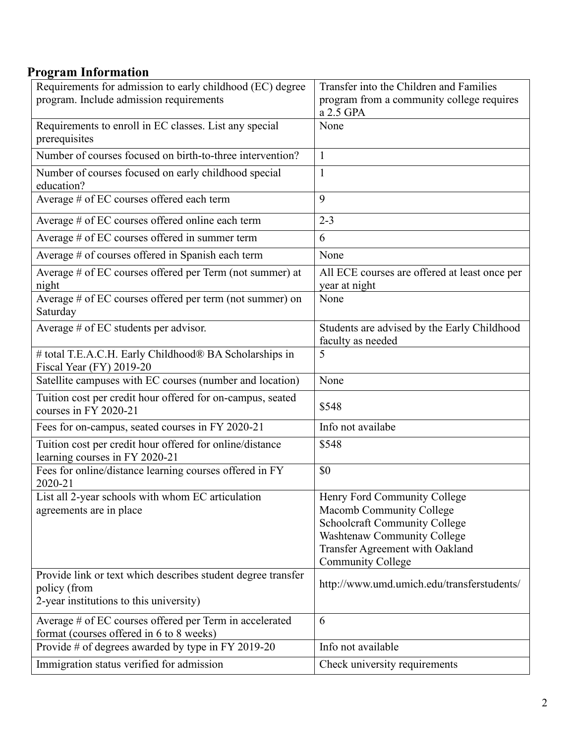# **Program Information**

| Requirements for admission to early childhood (EC) degree    | Transfer into the Children and Families       |
|--------------------------------------------------------------|-----------------------------------------------|
| program. Include admission requirements                      | program from a community college requires     |
|                                                              | a 2.5 GPA                                     |
| Requirements to enroll in EC classes. List any special       | None                                          |
| prerequisites                                                |                                               |
| Number of courses focused on birth-to-three intervention?    | $\mathbf{1}$                                  |
| Number of courses focused on early childhood special         | $\mathbf{1}$                                  |
| education?                                                   |                                               |
| Average # of EC courses offered each term                    | 9                                             |
| Average # of EC courses offered online each term             | $2 - 3$                                       |
| Average # of EC courses offered in summer term               | 6                                             |
| Average # of courses offered in Spanish each term            | None                                          |
| Average # of EC courses offered per Term (not summer) at     | All ECE courses are offered at least once per |
| night                                                        | year at night                                 |
| Average # of EC courses offered per term (not summer) on     | None                                          |
| Saturday                                                     |                                               |
| Average # of EC students per advisor.                        | Students are advised by the Early Childhood   |
|                                                              | faculty as needed                             |
| # total T.E.A.C.H. Early Childhood® BA Scholarships in       | 5                                             |
| Fiscal Year (FY) 2019-20                                     |                                               |
| Satellite campuses with EC courses (number and location)     | None                                          |
| Tuition cost per credit hour offered for on-campus, seated   |                                               |
| courses in FY 2020-21                                        | \$548                                         |
| Fees for on-campus, seated courses in FY 2020-21             | Info not availabe                             |
| Tuition cost per credit hour offered for online/distance     | \$548                                         |
| learning courses in FY 2020-21                               |                                               |
| Fees for online/distance learning courses offered in FY      | \$0                                           |
| 2020-21                                                      |                                               |
| List all 2-year schools with whom EC articulation            | Henry Ford Community College                  |
| agreements are in place                                      | Macomb Community College                      |
|                                                              | <b>Schoolcraft Community College</b>          |
|                                                              | Washtenaw Community College                   |
|                                                              | Transfer Agreement with Oakland               |
|                                                              | <b>Community College</b>                      |
| Provide link or text which describes student degree transfer | http://www.umd.umich.edu/transferstudents/    |
| policy (from                                                 |                                               |
| 2-year institutions to this university)                      |                                               |
| Average # of EC courses offered per Term in accelerated      | 6                                             |
| format (courses offered in 6 to 8 weeks)                     |                                               |
| Provide # of degrees awarded by type in FY 2019-20           | Info not available                            |
| Immigration status verified for admission                    | Check university requirements                 |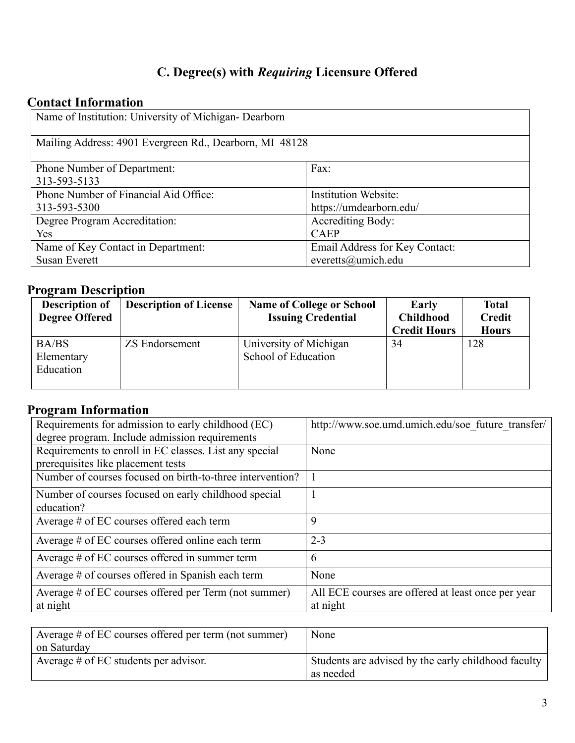# **C. Degree(s) with** *Requiring* **Licensure Offered**

### **Contact Information**

| Name of Institution: University of Michigan- Dearborn   |                                |  |
|---------------------------------------------------------|--------------------------------|--|
| Mailing Address: 4901 Evergreen Rd., Dearborn, MI 48128 |                                |  |
| <b>Phone Number of Department:</b>                      | Fax:                           |  |
| 313-593-5133                                            |                                |  |
| Phone Number of Financial Aid Office:                   | <b>Institution Website:</b>    |  |
| 313-593-5300                                            | https://umdearborn.edu/        |  |
| Degree Program Accreditation:                           | <b>Accrediting Body:</b>       |  |
| Yes                                                     | <b>CAEP</b>                    |  |
| Name of Key Contact in Department:                      | Email Address for Key Contact: |  |
| <b>Susan Everett</b>                                    | everetts@umich.edu             |  |

# **Program Description**

| <b>Description of</b>            | <b>Description of License</b> | <b>Name of College or School</b>              | Early                                   | <b>Total</b>                  |
|----------------------------------|-------------------------------|-----------------------------------------------|-----------------------------------------|-------------------------------|
| <b>Degree Offered</b>            |                               | <b>Issuing Credential</b>                     | <b>Childhood</b><br><b>Credit Hours</b> | <b>Credit</b><br><b>Hours</b> |
| BA/BS<br>Elementary<br>Education | <b>ZS Endorsement</b>         | University of Michigan<br>School of Education | 34                                      | 128                           |

#### **Program Information**

| Requirements for admission to early childhood (EC)        | http://www.soe.umd.umich.edu/soe future transfer/  |
|-----------------------------------------------------------|----------------------------------------------------|
| degree program. Include admission requirements            |                                                    |
| Requirements to enroll in EC classes. List any special    | None                                               |
| prerequisites like placement tests                        |                                                    |
| Number of courses focused on birth-to-three intervention? |                                                    |
| Number of courses focused on early childhood special      |                                                    |
| education?                                                |                                                    |
| Average # of EC courses offered each term                 | 9                                                  |
| Average # of EC courses offered online each term          | $2 - 3$                                            |
| Average # of EC courses offered in summer term            | 6                                                  |
| Average # of courses offered in Spanish each term         | None                                               |
| Average # of EC courses offered per Term (not summer)     | All ECE courses are offered at least once per year |
| at night                                                  | at night                                           |

| None                                                             |
|------------------------------------------------------------------|
|                                                                  |
| Students are advised by the early childhood faculty<br>as needed |
|                                                                  |